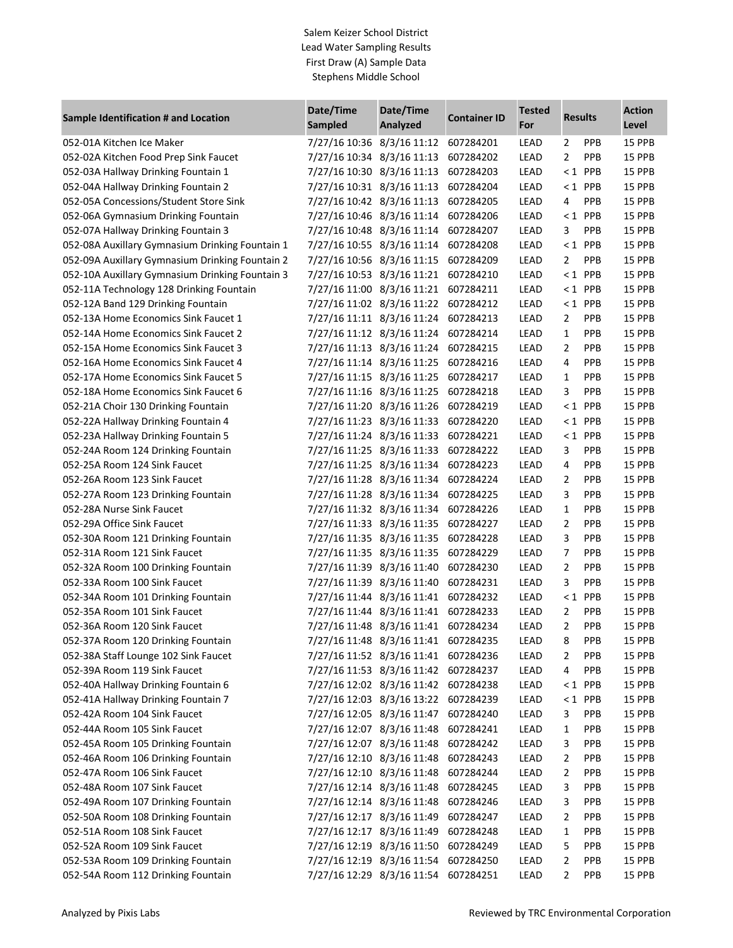## Salem Keizer School District Lead Water Sampling Results First Draw (A) Sample Data Stephens Middle School

|                                                 | Date/Time<br>Date/Time               |          |                     | <b>Tested</b> | <b>Results</b> |            | <b>Action</b> |
|-------------------------------------------------|--------------------------------------|----------|---------------------|---------------|----------------|------------|---------------|
| Sample Identification # and Location            | Sampled                              | Analyzed | <b>Container ID</b> | For           |                |            | Level         |
| 052-01A Kitchen Ice Maker                       | 7/27/16 10:36 8/3/16 11:12           |          | 607284201           | LEAD          | 2              | <b>PPB</b> | <b>15 PPB</b> |
| 052-02A Kitchen Food Prep Sink Faucet           | 7/27/16 10:34 8/3/16 11:13           |          | 607284202           | LEAD          | $\overline{2}$ | PPB        | 15 PPB        |
| 052-03A Hallway Drinking Fountain 1             | 7/27/16 10:30 8/3/16 11:13           |          | 607284203           | LEAD          |                | $< 1$ PPB  | 15 PPB        |
| 052-04A Hallway Drinking Fountain 2             | 7/27/16 10:31 8/3/16 11:13           |          | 607284204           | LEAD          |                | $< 1$ PPB  | 15 PPB        |
| 052-05A Concessions/Student Store Sink          | 7/27/16 10:42 8/3/16 11:13           |          | 607284205           | LEAD          | 4              | <b>PPB</b> | 15 PPB        |
| 052-06A Gymnasium Drinking Fountain             | 7/27/16 10:46 8/3/16 11:14           |          | 607284206           | LEAD          |                | $< 1$ PPB  | 15 PPB        |
| 052-07A Hallway Drinking Fountain 3             | 7/27/16 10:48 8/3/16 11:14           |          | 607284207           | LEAD          | 3              | PPB        | 15 PPB        |
| 052-08A Auxillary Gymnasium Drinking Fountain 1 | 7/27/16 10:55 8/3/16 11:14           |          | 607284208           | LEAD          |                | $< 1$ PPB  | 15 PPB        |
| 052-09A Auxillary Gymnasium Drinking Fountain 2 | 7/27/16 10:56 8/3/16 11:15           |          | 607284209           | LEAD          | 2              | PPB        | 15 PPB        |
| 052-10A Auxillary Gymnasium Drinking Fountain 3 | 7/27/16 10:53 8/3/16 11:21           |          | 607284210           | LEAD          | $\leq 1$       | PPB        | 15 PPB        |
| 052-11A Technology 128 Drinking Fountain        | 7/27/16 11:00 8/3/16 11:21           |          | 607284211           | LEAD          |                | $< 1$ PPB  | 15 PPB        |
| 052-12A Band 129 Drinking Fountain              | 7/27/16 11:02 8/3/16 11:22           |          | 607284212           | LEAD          |                | $< 1$ PPB  | 15 PPB        |
| 052-13A Home Economics Sink Faucet 1            | 7/27/16 11:11 8/3/16 11:24           |          | 607284213           | LEAD          | 2              | PPB        | 15 PPB        |
| 052-14A Home Economics Sink Faucet 2            | 7/27/16 11:12 8/3/16 11:24           |          | 607284214           | LEAD          | 1              | PPB        | 15 PPB        |
| 052-15A Home Economics Sink Faucet 3            | 7/27/16 11:13 8/3/16 11:24           |          | 607284215           | LEAD          | 2              | PPB        | 15 PPB        |
| 052-16A Home Economics Sink Faucet 4            | 7/27/16 11:14 8/3/16 11:25           |          | 607284216           | LEAD          | 4              | PPB        | 15 PPB        |
| 052-17A Home Economics Sink Faucet 5            | 7/27/16 11:15 8/3/16 11:25           |          | 607284217           | LEAD          | $\mathbf{1}$   | PPB        | 15 PPB        |
| 052-18A Home Economics Sink Faucet 6            | 7/27/16 11:16 8/3/16 11:25           |          | 607284218           | LEAD          | 3              | PPB        | 15 PPB        |
| 052-21A Choir 130 Drinking Fountain             | 7/27/16 11:20 8/3/16 11:26           |          | 607284219           | LEAD          |                | $< 1$ PPB  | 15 PPB        |
| 052-22A Hallway Drinking Fountain 4             | 7/27/16 11:23 8/3/16 11:33           |          | 607284220           | LEAD          |                | $< 1$ PPB  | 15 PPB        |
| 052-23A Hallway Drinking Fountain 5             | 7/27/16 11:24 8/3/16 11:33           |          | 607284221           | LEAD          | $\leq 1$       | PPB        | 15 PPB        |
| 052-24A Room 124 Drinking Fountain              | 7/27/16 11:25 8/3/16 11:33           |          | 607284222           | LEAD          | 3              | PPB        | 15 PPB        |
| 052-25A Room 124 Sink Faucet                    | 7/27/16 11:25 8/3/16 11:34           |          | 607284223           | LEAD          | 4              | PPB        | 15 PPB        |
| 052-26A Room 123 Sink Faucet                    | 7/27/16 11:28 8/3/16 11:34           |          | 607284224           | LEAD          | 2              | PPB        | 15 PPB        |
| 052-27A Room 123 Drinking Fountain              | 7/27/16 11:28 8/3/16 11:34           |          | 607284225           | LEAD          | 3              | PPB        | 15 PPB        |
| 052-28A Nurse Sink Faucet                       | 7/27/16 11:32 8/3/16 11:34           |          | 607284226           | LEAD          | $\mathbf{1}$   | PPB        | 15 PPB        |
| 052-29A Office Sink Faucet                      | 7/27/16 11:33 8/3/16 11:35           |          | 607284227           | LEAD          | $\overline{2}$ | PPB        | 15 PPB        |
| 052-30A Room 121 Drinking Fountain              | 7/27/16 11:35 8/3/16 11:35           |          | 607284228           | LEAD          | 3              | PPB        | 15 PPB        |
| 052-31A Room 121 Sink Faucet                    | 7/27/16 11:35 8/3/16 11:35           |          | 607284229           | LEAD          | 7              | PPB        | 15 PPB        |
| 052-32A Room 100 Drinking Fountain              | 7/27/16 11:39 8/3/16 11:40           |          | 607284230           | LEAD          | 2              | PPB        | 15 PPB        |
| 052-33A Room 100 Sink Faucet                    | 7/27/16 11:39 8/3/16 11:40           |          | 607284231           | LEAD          | 3              | PPB        | 15 PPB        |
| 052-34A Room 101 Drinking Fountain              | 7/27/16 11:44 8/3/16 11:41           |          | 607284232           | LEAD          |                | $< 1$ PPB  | 15 PPB        |
| 052-35A Room 101 Sink Faucet                    | 7/27/16 11:44 8/3/16 11:41           |          | 607284233           | LEAD          | $\overline{2}$ | PPB        | 15 PPB        |
| 052-36A Room 120 Sink Faucet                    | 7/27/16 11:48 8/3/16 11:41 607284234 |          |                     | LEAD          | 2              | PPB        | 15 PPB        |
| 052-37A Room 120 Drinking Fountain              | 7/27/16 11:48 8/3/16 11:41 607284235 |          |                     | LEAD          | 8              | <b>PPB</b> | 15 PPB        |
| 052-38A Staff Lounge 102 Sink Faucet            | 7/27/16 11:52 8/3/16 11:41           |          | 607284236           | LEAD          | 2              | <b>PPB</b> | 15 PPB        |
| 052-39A Room 119 Sink Faucet                    | 7/27/16 11:53 8/3/16 11:42           |          | 607284237           | LEAD          | 4              | <b>PPB</b> | 15 PPB        |
| 052-40A Hallway Drinking Fountain 6             | 7/27/16 12:02 8/3/16 11:42           |          | 607284238           | LEAD          |                | $< 1$ PPB  | 15 PPB        |
| 052-41A Hallway Drinking Fountain 7             | 7/27/16 12:03 8/3/16 13:22           |          | 607284239           | LEAD          |                | $< 1$ PPB  | <b>15 PPB</b> |
| 052-42A Room 104 Sink Faucet                    | 7/27/16 12:05 8/3/16 11:47           |          | 607284240           | LEAD          | 3              | <b>PPB</b> | 15 PPB        |
| 052-44A Room 105 Sink Faucet                    | 7/27/16 12:07 8/3/16 11:48           |          | 607284241           | LEAD          | 1              | PPB        | 15 PPB        |
| 052-45A Room 105 Drinking Fountain              | 7/27/16 12:07 8/3/16 11:48           |          | 607284242           | LEAD          | 3              | PPB        | 15 PPB        |
| 052-46A Room 106 Drinking Fountain              | 7/27/16 12:10 8/3/16 11:48           |          | 607284243           | LEAD          | 2              | PPB        | <b>15 PPB</b> |
| 052-47A Room 106 Sink Faucet                    | 7/27/16 12:10 8/3/16 11:48           |          | 607284244           | LEAD          | 2              | PPB        | 15 PPB        |
| 052-48A Room 107 Sink Faucet                    | 7/27/16 12:14 8/3/16 11:48           |          | 607284245           | LEAD          | 3              | PPB        | 15 PPB        |
| 052-49A Room 107 Drinking Fountain              | 7/27/16 12:14 8/3/16 11:48           |          | 607284246           | LEAD          | 3              | PPB        | 15 PPB        |
| 052-50A Room 108 Drinking Fountain              | 7/27/16 12:17 8/3/16 11:49           |          | 607284247           | LEAD          | 2              | PPB        | 15 PPB        |
| 052-51A Room 108 Sink Faucet                    | 7/27/16 12:17 8/3/16 11:49           |          | 607284248           | LEAD          | 1              | PPB        | 15 PPB        |
| 052-52A Room 109 Sink Faucet                    | 7/27/16 12:19 8/3/16 11:50           |          | 607284249           | LEAD          | 5              | <b>PPB</b> | 15 PPB        |
| 052-53A Room 109 Drinking Fountain              | 7/27/16 12:19 8/3/16 11:54           |          | 607284250           | LEAD          | 2              | <b>PPB</b> | 15 PPB        |
| 052-54A Room 112 Drinking Fountain              | 7/27/16 12:29 8/3/16 11:54           |          | 607284251           | LEAD          | 2              | <b>PPB</b> | 15 PPB        |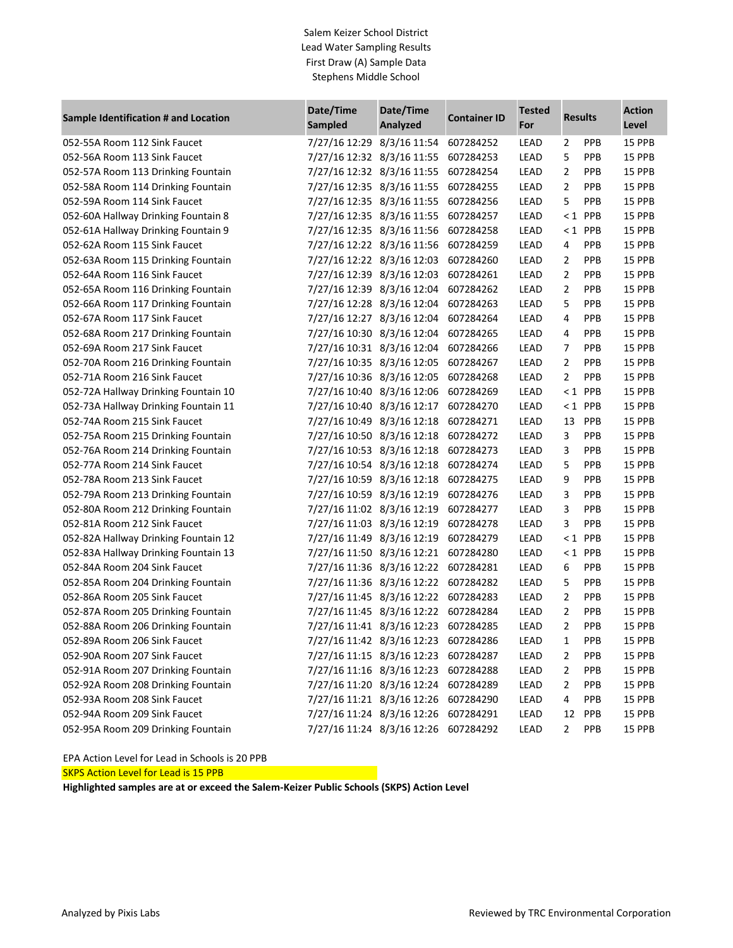## Salem Keizer School District Lead Water Sampling Results First Draw (A) Sample Data Stephens Middle School

| Sample Identification # and Location | Date/Time<br>Sampled       | Date/Time<br>Analyzed | <b>Container ID</b> | <b>Tested</b><br>For | <b>Results</b> |            | <b>Action</b><br>Level |
|--------------------------------------|----------------------------|-----------------------|---------------------|----------------------|----------------|------------|------------------------|
| 052-55A Room 112 Sink Faucet         | 7/27/16 12:29 8/3/16 11:54 |                       | 607284252           | LEAD                 | 2              | PPB        | 15 PPB                 |
| 052-56A Room 113 Sink Faucet         | 7/27/16 12:32 8/3/16 11:55 |                       | 607284253           | LEAD                 | 5              | PPB        | 15 PPB                 |
| 052-57A Room 113 Drinking Fountain   | 7/27/16 12:32 8/3/16 11:55 |                       | 607284254           | LEAD                 | 2              | PPB        | 15 PPB                 |
| 052-58A Room 114 Drinking Fountain   | 7/27/16 12:35 8/3/16 11:55 |                       | 607284255           | LEAD                 | 2              | PPB        | 15 PPB                 |
| 052-59A Room 114 Sink Faucet         | 7/27/16 12:35 8/3/16 11:55 |                       | 607284256           | LEAD                 | 5              | PPB        | 15 PPB                 |
| 052-60A Hallway Drinking Fountain 8  | 7/27/16 12:35 8/3/16 11:55 |                       | 607284257           | LEAD                 | $\leq 1$       | PPB        | 15 PPB                 |
| 052-61A Hallway Drinking Fountain 9  | 7/27/16 12:35 8/3/16 11:56 |                       | 607284258           | LEAD                 |                | $< 1$ PPB  | 15 PPB                 |
| 052-62A Room 115 Sink Faucet         | 7/27/16 12:22 8/3/16 11:56 |                       | 607284259           | LEAD                 | 4              | PPB        | 15 PPB                 |
| 052-63A Room 115 Drinking Fountain   | 7/27/16 12:22 8/3/16 12:03 |                       | 607284260           | LEAD                 | 2              | PPB        | 15 PPB                 |
| 052-64A Room 116 Sink Faucet         | 7/27/16 12:39 8/3/16 12:03 |                       | 607284261           | LEAD                 | 2              | PPB        | 15 PPB                 |
| 052-65A Room 116 Drinking Fountain   | 7/27/16 12:39 8/3/16 12:04 |                       | 607284262           | LEAD                 | 2              | PPB        | 15 PPB                 |
| 052-66A Room 117 Drinking Fountain   | 7/27/16 12:28 8/3/16 12:04 |                       | 607284263           | LEAD                 | 5              | PPB        | 15 PPB                 |
| 052-67A Room 117 Sink Faucet         | 7/27/16 12:27 8/3/16 12:04 |                       | 607284264           | LEAD                 | 4              | PPB        | 15 PPB                 |
| 052-68A Room 217 Drinking Fountain   | 7/27/16 10:30 8/3/16 12:04 |                       | 607284265           | LEAD                 | 4              | PPB        | 15 PPB                 |
| 052-69A Room 217 Sink Faucet         | 7/27/16 10:31 8/3/16 12:04 |                       | 607284266           | LEAD                 | 7              | PPB        | 15 PPB                 |
| 052-70A Room 216 Drinking Fountain   | 7/27/16 10:35 8/3/16 12:05 |                       | 607284267           | LEAD                 | 2              | PPB        | 15 PPB                 |
| 052-71A Room 216 Sink Faucet         | 7/27/16 10:36 8/3/16 12:05 |                       | 607284268           | LEAD                 | 2              | PPB        | 15 PPB                 |
| 052-72A Hallway Drinking Fountain 10 | 7/27/16 10:40 8/3/16 12:06 |                       | 607284269           | LEAD                 | $\leq 1$       | PPB        | 15 PPB                 |
| 052-73A Hallway Drinking Fountain 11 | 7/27/16 10:40 8/3/16 12:17 |                       | 607284270           | LEAD                 | $\leq 1$       | PPB        | 15 PPB                 |
| 052-74A Room 215 Sink Faucet         | 7/27/16 10:49 8/3/16 12:18 |                       | 607284271           | LEAD                 | 13             | PPB        | 15 PPB                 |
| 052-75A Room 215 Drinking Fountain   | 7/27/16 10:50 8/3/16 12:18 |                       | 607284272           | LEAD                 | 3              | PPB        | 15 PPB                 |
| 052-76A Room 214 Drinking Fountain   | 7/27/16 10:53 8/3/16 12:18 |                       | 607284273           | LEAD                 | 3              | PPB        | 15 PPB                 |
| 052-77A Room 214 Sink Faucet         | 7/27/16 10:54 8/3/16 12:18 |                       | 607284274           | LEAD                 | 5              | PPB        | 15 PPB                 |
| 052-78A Room 213 Sink Faucet         | 7/27/16 10:59 8/3/16 12:18 |                       | 607284275           | LEAD                 | 9              | PPB        | 15 PPB                 |
| 052-79A Room 213 Drinking Fountain   | 7/27/16 10:59 8/3/16 12:19 |                       | 607284276           | LEAD                 | 3              | PPB        | 15 PPB                 |
| 052-80A Room 212 Drinking Fountain   | 7/27/16 11:02 8/3/16 12:19 |                       | 607284277           | LEAD                 | 3              | PPB        | 15 PPB                 |
| 052-81A Room 212 Sink Faucet         | 7/27/16 11:03 8/3/16 12:19 |                       | 607284278           | LEAD                 | 3              | PPB        | 15 PPB                 |
| 052-82A Hallway Drinking Fountain 12 | 7/27/16 11:49 8/3/16 12:19 |                       | 607284279           | LEAD                 | $\leq 1$       | PPB        | 15 PPB                 |
| 052-83A Hallway Drinking Fountain 13 | 7/27/16 11:50 8/3/16 12:21 |                       | 607284280           | LEAD                 |                | $< 1$ PPB  | 15 PPB                 |
| 052-84A Room 204 Sink Faucet         | 7/27/16 11:36 8/3/16 12:22 |                       | 607284281           | LEAD                 | 6              | PPB        | 15 PPB                 |
| 052-85A Room 204 Drinking Fountain   | 7/27/16 11:36 8/3/16 12:22 |                       | 607284282           | LEAD                 | 5              | PPB        | 15 PPB                 |
| 052-86A Room 205 Sink Faucet         | 7/27/16 11:45 8/3/16 12:22 |                       | 607284283           | LEAD                 | 2              | PPB        | 15 PPB                 |
| 052-87A Room 205 Drinking Fountain   | 7/27/16 11:45 8/3/16 12:22 |                       | 607284284           | LEAD                 | 2              | PPB        | 15 PPB                 |
| 052-88A Room 206 Drinking Fountain   | 7/27/16 11:41 8/3/16 12:23 |                       | 607284285           | LEAD                 | 2              | PPB        | 15 PPB                 |
| 052-89A Room 206 Sink Faucet         | 7/27/16 11:42 8/3/16 12:23 |                       | 607284286           | <b>LEAD</b>          | 1              | <b>PPB</b> | 15 PPB                 |
| 052-90A Room 207 Sink Faucet         | 7/27/16 11:15 8/3/16 12:23 |                       | 607284287           | LEAD                 | 2              | <b>PPB</b> | 15 PPB                 |
| 052-91A Room 207 Drinking Fountain   | 7/27/16 11:16 8/3/16 12:23 |                       | 607284288           | LEAD                 | 2              | <b>PPB</b> | 15 PPB                 |
| 052-92A Room 208 Drinking Fountain   | 7/27/16 11:20 8/3/16 12:24 |                       | 607284289           | LEAD                 | 2              | <b>PPB</b> | 15 PPB                 |
| 052-93A Room 208 Sink Faucet         | 7/27/16 11:21 8/3/16 12:26 |                       | 607284290           | LEAD                 | 4              | <b>PPB</b> | 15 PPB                 |
| 052-94A Room 209 Sink Faucet         | 7/27/16 11:24 8/3/16 12:26 |                       | 607284291           | LEAD                 | 12             | <b>PPB</b> | 15 PPB                 |
| 052-95A Room 209 Drinking Fountain   | 7/27/16 11:24 8/3/16 12:26 |                       | 607284292           | LEAD                 | 2              | <b>PPB</b> | 15 PPB                 |

EPA Action Level for Lead in Schools is 20 PPB

SKPS Action Level for Lead is 15 PPB

**Highlighted samples are at or exceed the Salem-Keizer Public Schools (SKPS) Action Level**